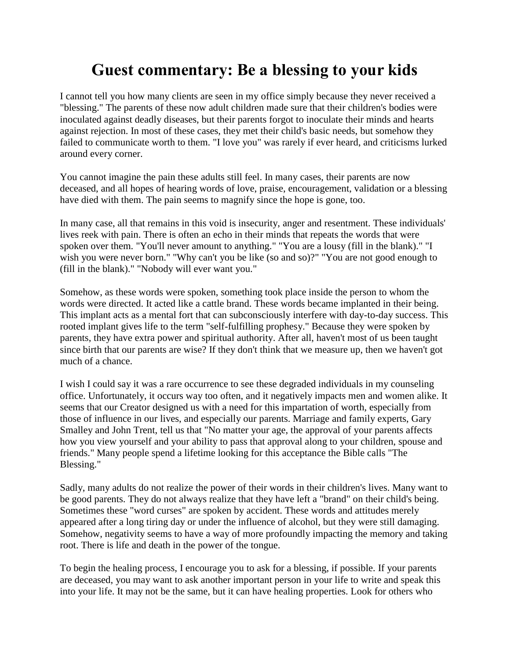## **Guest commentary: Be a blessing to your kids**

I cannot tell you how many clients are seen in my office simply because they never received a "blessing." The parents of these now adult children made sure that their children's bodies were inoculated against deadly diseases, but their parents forgot to inoculate their minds and hearts against rejection. In most of these cases, they met their child's basic needs, but somehow they failed to communicate worth to them. "I love you" was rarely if ever heard, and criticisms lurked around every corner.

You cannot imagine the pain these adults still feel. In many cases, their parents are now deceased, and all hopes of hearing words of love, praise, encouragement, validation or a blessing have died with them. The pain seems to magnify since the hope is gone, too.

In many case, all that remains in this void is insecurity, anger and resentment. These individuals' lives reek with pain. There is often an echo in their minds that repeats the words that were spoken over them. "You'll never amount to anything." "You are a lousy (fill in the blank)." "I wish you were never born." "Why can't you be like (so and so)?" "You are not good enough to (fill in the blank)." "Nobody will ever want you."

Somehow, as these words were spoken, something took place inside the person to whom the words were directed. It acted like a cattle brand. These words became implanted in their being. This implant acts as a mental fort that can subconsciously interfere with day-to-day success. This rooted implant gives life to the term "self-fulfilling prophesy." Because they were spoken by parents, they have extra power and spiritual authority. After all, haven't most of us been taught since birth that our parents are wise? If they don't think that we measure up, then we haven't got much of a chance.

I wish I could say it was a rare occurrence to see these degraded individuals in my counseling office. Unfortunately, it occurs way too often, and it negatively impacts men and women alike. It seems that our Creator designed us with a need for this impartation of worth, especially from those of influence in our lives, and especially our parents. Marriage and family experts, Gary Smalley and John Trent, tell us that "No matter your age, the approval of your parents affects how you view yourself and your ability to pass that approval along to your children, spouse and friends." Many people spend a lifetime looking for this acceptance the Bible calls "The Blessing."

Sadly, many adults do not realize the power of their words in their children's lives. Many want to be good parents. They do not always realize that they have left a "brand" on their child's being. Sometimes these "word curses" are spoken by accident. These words and attitudes merely appeared after a long tiring day or under the influence of alcohol, but they were still damaging. Somehow, negativity seems to have a way of more profoundly impacting the memory and taking root. There is life and death in the power of the tongue.

To begin the healing process, I encourage you to ask for a blessing, if possible. If your parents are deceased, you may want to ask another important person in your life to write and speak this into your life. It may not be the same, but it can have healing properties. Look for others who